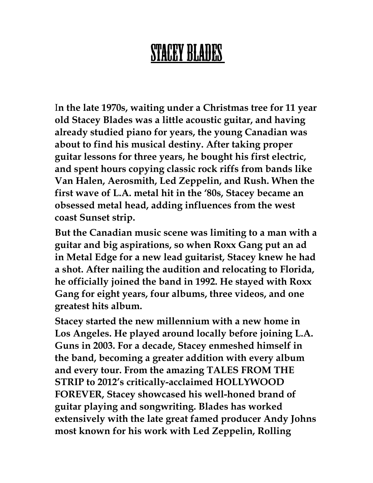## STACEY BLADES

I**n the late 1970s, waiting under a Christmas tree for 11 year old Stacey Blades was a little acoustic guitar, and having already studied piano for years, the young Canadian was about to find his musical destiny. After taking proper guitar lessons for three years, he bought his first electric, and spent hours copying classic rock riffs from bands like Van Halen, Aerosmith, Led Zeppelin, and Rush. When the first wave of L.A. metal hit in the '80s, Stacey became an obsessed metal head, adding influences from the west coast Sunset strip.**

**But the Canadian music scene was limiting to a man with a guitar and big aspirations, so when Roxx Gang put an ad in Metal Edge for a new lead guitarist, Stacey knew he had a shot. After nailing the audition and relocating to Florida, he officially joined the band in 1992. He stayed with Roxx Gang for eight years, four albums, three videos, and one greatest hits album.** 

**Stacey started the new millennium with a new home in Los Angeles. He played around locally before joining L.A. Guns in 2003. For a decade, Stacey enmeshed himself in the band, becoming a greater addition with every album and every tour. From the amazing TALES FROM THE STRIP to 2012's critically-acclaimed HOLLYWOOD FOREVER, Stacey showcased his well-honed brand of guitar playing and songwriting. Blades has worked extensively with the late great famed producer Andy Johns most known for his work with Led Zeppelin, Rolling**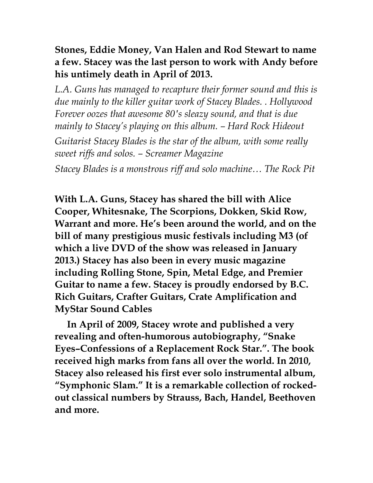## **Stones, Eddie Money, Van Halen and Rod Stewart to name a few. Stacey was the last person to work with Andy before his untimely death in April of 2013.**

L.A. Guns has managed to recapture their former sound and this is *due mainly to the killer guitar work of Stacey Blades. . Hollywood Forever oozes that awesome 80′s sleazy sound, and that is due mainly to Stacey's playing on this album. – Hard Rock Hideout Guitarist Stacey Blades is the star of the album, with some really sweet riffs and solos. – Screamer Magazine Stacey Blades is a monstrous riff and solo machine… The Rock Pit* 

**With L.A. Guns, Stacey has shared the bill with Alice Cooper, Whitesnake, The Scorpions, Dokken, Skid Row, Warrant and more. He's been around the world, and on the bill of many prestigious music festivals including M3 (of which a live DVD of the show was released in January 2013.) Stacey has also been in every music magazine including Rolling Stone, Spin, Metal Edge, and Premier Guitar to name a few. Stacey is proudly endorsed by B.C. Rich Guitars, Crafter Guitars, Crate Amplification and MyStar Sound Cables**

 **In April of 2009, Stacey wrote and published a very revealing and often-humorous autobiography, "Snake Eyes–Confessions of a Replacement Rock Star.". The book received high marks from fans all over the world. In 2010, Stacey also released his first ever solo instrumental album, "Symphonic Slam." It is a remarkable collection of rockedout classical numbers by Strauss, Bach, Handel, Beethoven and more.**